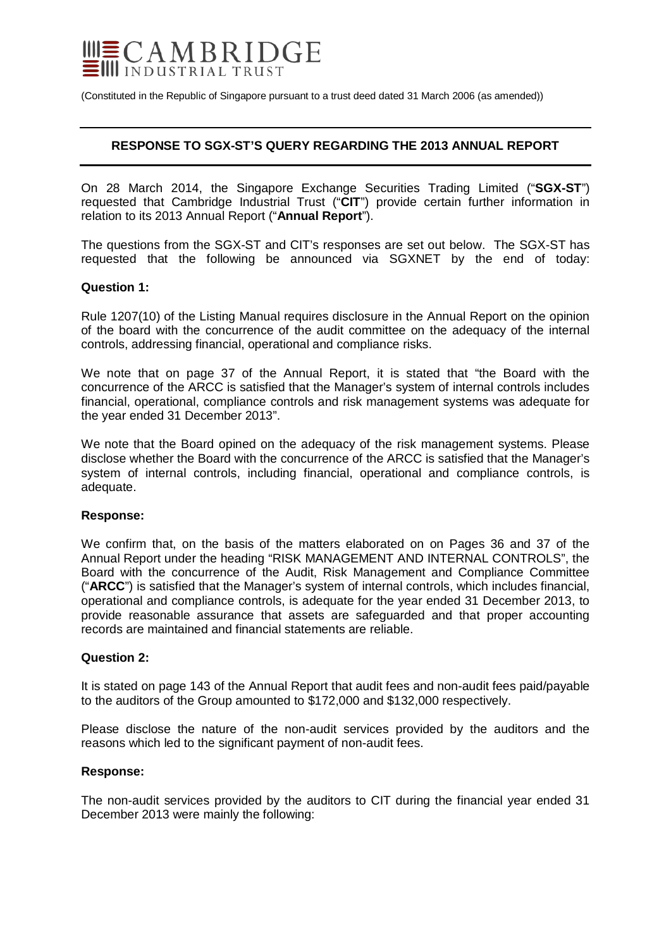

(Constituted in the Republic of Singapore pursuant to a trust deed dated 31 March 2006 (as amended))

# **RESPONSE TO SGX-ST'S QUERY REGARDING THE 2013 ANNUAL REPORT**

On 28 March 2014, the Singapore Exchange Securities Trading Limited ("**SGX-ST**") requested that Cambridge Industrial Trust ("**CIT**") provide certain further information in relation to its 2013 Annual Report ("**Annual Report**").

The questions from the SGX-ST and CIT's responses are set out below. The SGX-ST has requested that the following be announced via SGXNET by the end of today:

#### **Question 1:**

Rule 1207(10) of the Listing Manual requires disclosure in the Annual Report on the opinion of the board with the concurrence of the audit committee on the adequacy of the internal controls, addressing financial, operational and compliance risks.

We note that on page 37 of the Annual Report, it is stated that "the Board with the concurrence of the ARCC is satisfied that the Manager's system of internal controls includes financial, operational, compliance controls and risk management systems was adequate for the year ended 31 December 2013".

We note that the Board opined on the adequacy of the risk management systems. Please disclose whether the Board with the concurrence of the ARCC is satisfied that the Manager's system of internal controls, including financial, operational and compliance controls, is adequate.

### **Response:**

We confirm that, on the basis of the matters elaborated on on Pages 36 and 37 of the Annual Report under the heading "RISK MANAGEMENT AND INTERNAL CONTROLS", the Board with the concurrence of the Audit, Risk Management and Compliance Committee ("**ARCC**") is satisfied that the Manager's system of internal controls, which includes financial, operational and compliance controls, is adequate for the year ended 31 December 2013, to provide reasonable assurance that assets are safeguarded and that proper accounting records are maintained and financial statements are reliable.

#### **Question 2:**

It is stated on page 143 of the Annual Report that audit fees and non-audit fees paid/payable to the auditors of the Group amounted to \$172,000 and \$132,000 respectively.

Please disclose the nature of the non-audit services provided by the auditors and the reasons which led to the significant payment of non-audit fees.

#### **Response:**

The non-audit services provided by the auditors to CIT during the financial year ended 31 December 2013 were mainly the following: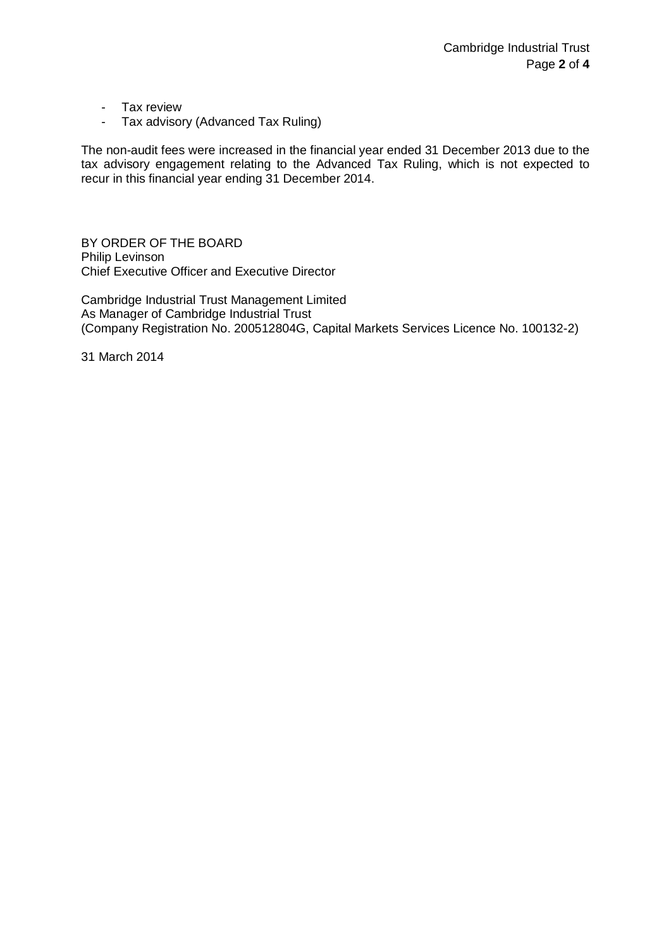- Tax review
- Tax advisory (Advanced Tax Ruling)

The non-audit fees were increased in the financial year ended 31 December 2013 due to the tax advisory engagement relating to the Advanced Tax Ruling, which is not expected to recur in this financial year ending 31 December 2014.

BY ORDER OF THE BOARD Philip Levinson Chief Executive Officer and Executive Director

Cambridge Industrial Trust Management Limited As Manager of Cambridge Industrial Trust (Company Registration No. 200512804G, Capital Markets Services Licence No. 100132-2)

31 March 2014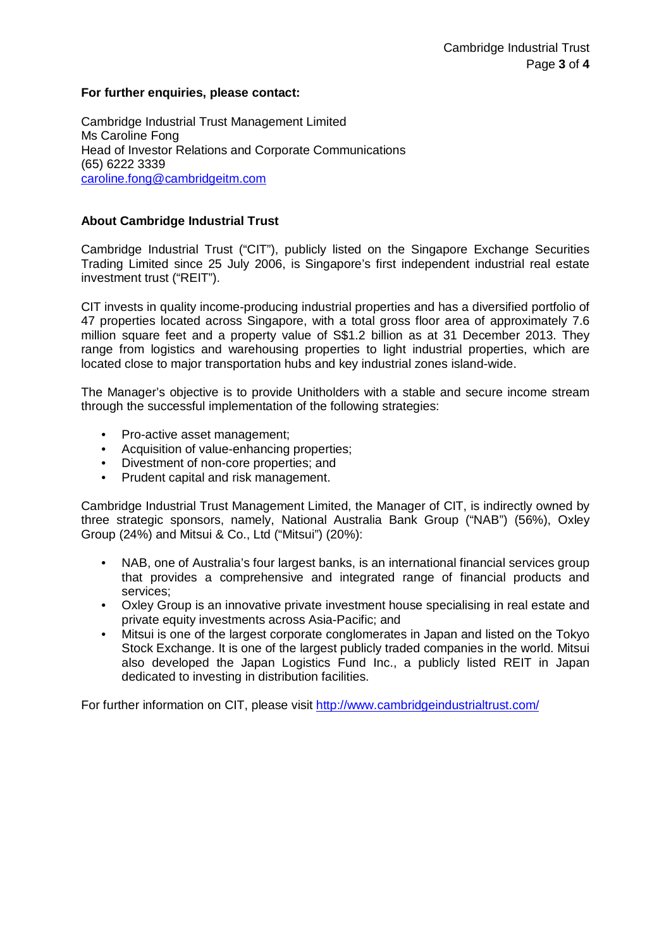# **For further enquiries, please contact:**

Cambridge Industrial Trust Management Limited Ms Caroline Fong Head of Investor Relations and Corporate Communications (65) 6222 3339 [caroline.fong@cambridgeitm.com](mailto:caroline.fong@cambridgeitm.com)

# **About Cambridge Industrial Trust**

Cambridge Industrial Trust ("CIT"), publicly listed on the Singapore Exchange Securities Trading Limited since 25 July 2006, is Singapore's first independent industrial real estate investment trust ("REIT").

CIT invests in quality income-producing industrial properties and has a diversified portfolio of 47 properties located across Singapore, with a total gross floor area of approximately 7.6 million square feet and a property value of S\$1.2 billion as at 31 December 2013. They range from logistics and warehousing properties to light industrial properties, which are located close to major transportation hubs and key industrial zones island-wide.

The Manager's objective is to provide Unitholders with a stable and secure income stream through the successful implementation of the following strategies:

- Pro-active asset management;
- Acquisition of value-enhancing properties;
- Divestment of non-core properties; and
- Prudent capital and risk management.

Cambridge Industrial Trust Management Limited, the Manager of CIT, is indirectly owned by three strategic sponsors, namely, National Australia Bank Group ("NAB") (56%), Oxley Group (24%) and Mitsui & Co., Ltd ("Mitsui") (20%):

- NAB, one of Australia's four largest banks, is an international financial services group that provides a comprehensive and integrated range of financial products and services;
- Oxley Group is an innovative private investment house specialising in real estate and private equity investments across Asia-Pacific; and
- Mitsui is one of the largest corporate conglomerates in Japan and listed on the Tokyo Stock Exchange. It is one of the largest publicly traded companies in the world. Mitsui also developed the Japan Logistics Fund Inc., a publicly listed REIT in Japan dedicated to investing in distribution facilities.

For further information on CIT, please visit<http://www.cambridgeindustrialtrust.com/>